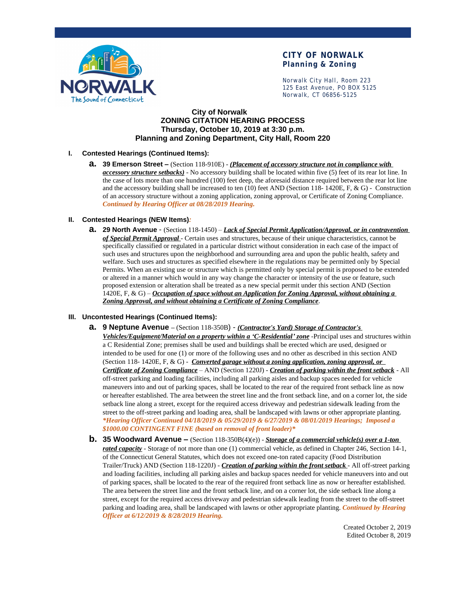

# **CITY OF NORWALK Planning & Zoning**

Norwalk City Hall, Room 223 125 East Avenue, PO BOX 5125 Norwalk, CT 06856-5125

## **City of Norwalk ZONING CITATION HEARING PROCESS Thursday, October 10, 2019 at 3:30 p.m. Planning and Zoning Department, City Hall, Room 220**

### **I. Contested Hearings (Continued Items):**

**a. 39 Emerson Street –** (Section 118-910E) - *(Placement of accessory structure not in compliance with accessory structure setbacks)* - No accessory building shall be located within five (5) feet of its rear lot line. In the case of lots more than one hundred (100) feet deep, the aforesaid distance required between the rear lot line and the accessory building shall be increased to ten (10) feet AND (Section 118- 1420E, F, & G) - Construction of an accessory structure without a zoning application, zoning approval, or Certificate of Zoning Compliance. *Continued by Hearing Officer at 08/28/2019 Hearing.*

### **II. Contested Hearings (NEW Items)***:*

**a. 29 North Avenue** - (Section 118-1450) – *Lack of Special Permit Application/Approval, or in contravention of Special Permit Approval* - Certain uses and structures, because of their unique characteristics, cannot be specifically classified or regulated in a particular district without consideration in each case of the impact of such uses and structures upon the neighborhood and surrounding area and upon the public health, safety and welfare. Such uses and structures as specified elsewhere in the regulations may be permitted only by Special Permits. When an existing use or structure which is permitted only by special permit is proposed to be extended or altered in a manner which would in any way change the character or intensity of the use or feature, such proposed extension or alteration shall be treated as a new special permit under this section AND (Section 1420E, F, & G) – *Occupation of space without an Application for Zoning Approval, without obtaining a Zoning Approval, and without obtaining a Certificate of Zoning Compliance*.

#### **III. Uncontested Hearings (Continued Items):**

**a. 9 Neptune Avenue –** (Section 118-350B) - *(Contractor's Yard) Storage of Contractor's* 

*Vehicles/Equipment/Material on a property within a 'C-Residential' zone* -Principal uses and structures within a C Residential Zone; premises shall be used and buildings shall be erected which are used, designed or intended to be used for one (1) or more of the following uses and no other as described in this section AND (Section 118- 1420E, F, & G) - *Converted garage without a zoning application, zoning approval, or Certificate of Zoning Compliance* – AND (Section 1220J) - *Creation of parking within the front setback* - All off-street parking and loading facilities, including all parking aisles and backup spaces needed for vehicle maneuvers into and out of parking spaces, shall be located to the rear of the required front setback line as now or hereafter established. The area between the street line and the front setback line, and on a corner lot, the side setback line along a street, except for the required access driveway and pedestrian sidewalk leading from the street to the off-street parking and loading area, shall be landscaped with lawns or other appropriate planting. *\*Hearing Officer Continued 04/18/2019 & 05/29/2019 & 6/27/2019 & 08/01/2019 Hearings; Imposed a \$1000.00 CONTINGENT FINE (based on removal of front loader)\**

**b. 35 Woodward Avenue –** (Section 118-350B(4)(e)) - *Storage of a commercial vehicle(s) over a 1-ton rated capacity* - Storage of not more than one (1) commercial vehicle, as defined in Chapter 246, Section 14-1, of the Connecticut General Statutes, which does not exceed one-ton rated capacity (Food Distribution Trailer/Truck) AND (Section 118-1220J) - *Creation of parking within the front setback* - All off-street parking and loading facilities, including all parking aisles and backup spaces needed for vehicle maneuvers into and out of parking spaces, shall be located to the rear of the required front setback line as now or hereafter established. The area between the street line and the front setback line, and on a corner lot, the side setback line along a street, except for the required access driveway and pedestrian sidewalk leading from the street to the off-street parking and loading area, shall be landscaped with lawns or other appropriate planting. *Continued by Hearing Officer at 6/12/2019 & 8/28/2019 Hearing.*

> Created October 2, 2019 Edited October 8, 2019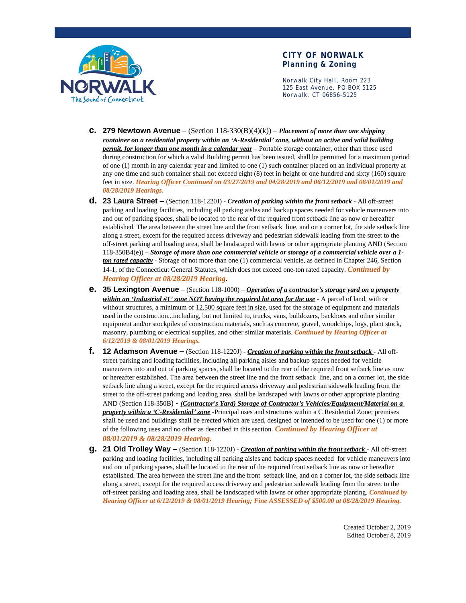

## **CITY OF NORWALK Planning & Zoning**

Norwalk City Hall, Room 223 125 East Avenue, PO BOX 5125 Norwalk, CT 06856-5125

- **c. 279 Newtown Avenue** (Section  $118-330(B)(4)(k)$ ) *Placement of more than one shipping container on a residential property within an 'A-Residential' zone, without an active and valid building permit, for longer than one month in a calendar year* – Portable storage container, other than those used during construction for which a valid Building permit has been issued, shall be permitted for a maximum period of one (1) month in any calendar year and limited to one (1) such container placed on an individual property at any one time and such container shall not exceed eight (8) feet in height or one hundred and sixty (160) square feet in size. *Hearing Officer Continued on 03/27/2019 and 04/28/2019 and 06/12/2019 and 08/01/2019 and 08/28/2019 Hearings.*
- **d. 23 Laura Street –** (Section 118-1220J) *Creation of parking within the front setback* All off-street parking and loading facilities, including all parking aisles and backup spaces needed for vehicle maneuvers into and out of parking spaces, shall be located to the rear of the required front setback line as now or hereafter established. The area between the street line and the front setback line, and on a corner lot, the side setback line along a street, except for the required access driveway and pedestrian sidewalk leading from the street to the off-street parking and loading area, shall be landscaped with lawns or other appropriate planting AND (Section 118-350B4(e)) – *Storage of more than one commercial vehicle or storage of a commercial vehicle over a 1 ton rated capacity* - Storage of not more than one (1) commercial vehicle, as defined in Chapter 246, Section 14-1, of the Connecticut General Statutes, which does not exceed one-ton rated capacity. *Continued by Hearing Officer at 08/28/2019 Hearing*.
- **e. 35 Lexington Avenue**  (Section 118-1000) *Operation of a contractor's storage yard on a property within an 'Industrial #1' zone NOT having the required lot area for the use* - A parcel of land, with or without structures, a minimum of 12,500 square feet in size, used for the storage of equipment and materials used in the construction...including, but not limited to, trucks, vans, bulldozers, backhoes and other similar equipment and/or stockpiles of construction materials, such as concrete, gravel, woodchips, logs, plant stock, masonry, plumbing or electrical supplies, and other similar materials. *Continued by Hearing Officer at 6/12/2019 & 08/01/2019 Hearings.*
- **f. 12 Adamson Avenue –** (Section 118-1220J) *Creation of parking within the front setback* All offstreet parking and loading facilities, including all parking aisles and backup spaces needed for vehicle maneuvers into and out of parking spaces, shall be located to the rear of the required front setback line as now or hereafter established. The area between the street line and the front setback line, and on a corner lot, the side setback line along a street, except for the required access driveway and pedestrian sidewalk leading from the street to the off-street parking and loading area, shall be landscaped with lawns or other appropriate planting AND (Section 118-350B) - *(Contractor's Yard) Storage of Contractor's Vehicles/Equipment/Material on a property within a 'C-Residential' zone* -Principal uses and structures within a C Residential Zone; premises shall be used and buildings shall be erected which are used, designed or intended to be used for one (1) or more of the following uses and no other as described in this section. *Continued by Hearing Officer at 08/01/2019 & 08/28/2019 Hearing*.
- **g. 21 Old Trolley Way –** (Section 118-1220J) *Creation of parking within the front setback* All off-street parking and loading facilities, including all parking aisles and backup spaces needed for vehicle maneuvers into and out of parking spaces, shall be located to the rear of the required front setback line as now or hereafter established. The area between the street line and the front setback line, and on a corner lot, the side setback line along a street, except for the required access driveway and pedestrian sidewalk leading from the street to the off-street parking and loading area, shall be landscaped with lawns or other appropriate planting. *Continued by Hearing Officer at 6/12/2019 & 08/01/2019 Hearing; Fine ASSESSED of \$500.00 at 08/28/2019 Hearing.*